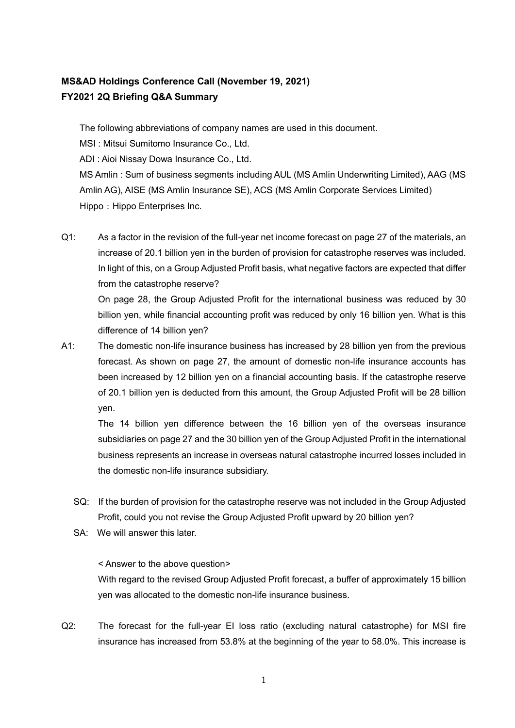## **MS&AD Holdings Conference Call (November 19, 2021) FY2021 2Q Briefing Q&A Summary**

The following abbreviations of company names are used in this document.

MSI : Mitsui Sumitomo Insurance Co., Ltd.

ADI : Aioi Nissay Dowa Insurance Co., Ltd.

MS Amlin : Sum of business segments including AUL (MS Amlin Underwriting Limited), AAG (MS Amlin AG), AISE (MS Amlin Insurance SE), ACS (MS Amlin Corporate Services Limited) Hippo: Hippo Enterprises Inc.

Q1: As a factor in the revision of the full-year net income forecast on page 27 of the materials, an increase of 20.1 billion yen in the burden of provision for catastrophe reserves was included. In light of this, on a Group Adjusted Profit basis, what negative factors are expected that differ from the catastrophe reserve?

On page 28, the Group Adjusted Profit for the international business was reduced by 30 billion yen, while financial accounting profit was reduced by only 16 billion yen. What is this difference of 14 billion yen?

A1: The domestic non-life insurance business has increased by 28 billion yen from the previous forecast. As shown on page 27, the amount of domestic non-life insurance accounts has been increased by 12 billion yen on a financial accounting basis. If the catastrophe reserve of 20.1 billion yen is deducted from this amount, the Group Adjusted Profit will be 28 billion yen.

The 14 billion yen difference between the 16 billion yen of the overseas insurance subsidiaries on page 27 and the 30 billion yen of the Group Adjusted Profit in the international business represents an increase in overseas natural catastrophe incurred losses included in the domestic non-life insurance subsidiary.

- SQ: If the burden of provision for the catastrophe reserve was not included in the Group Adjusted Profit, could you not revise the Group Adjusted Profit upward by 20 billion yen?
- SA: We will answer this later.

## < Answer to the above question>

With regard to the revised Group Adjusted Profit forecast, a buffer of approximately 15 billion yen was allocated to the domestic non-life insurance business.

Q2: The forecast for the full-year EI loss ratio (excluding natural catastrophe) for MSI fire insurance has increased from 53.8% at the beginning of the year to 58.0%. This increase is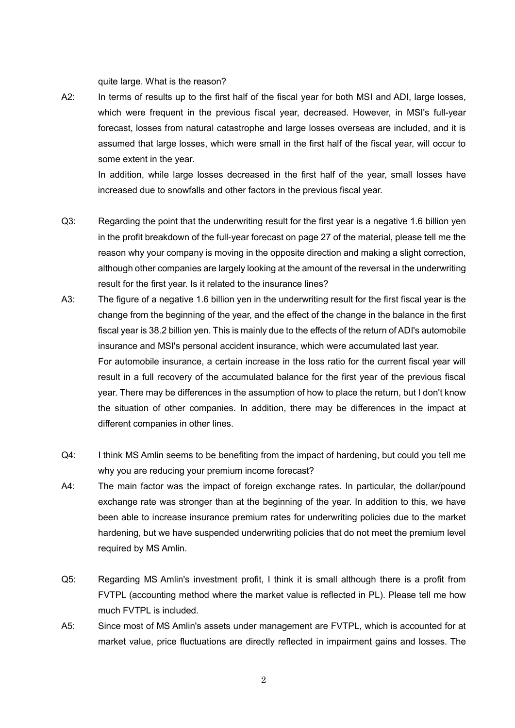quite large. What is the reason?

A2: In terms of results up to the first half of the fiscal year for both MSI and ADI, large losses, which were frequent in the previous fiscal year, decreased. However, in MSI's full-year forecast, losses from natural catastrophe and large losses overseas are included, and it is assumed that large losses, which were small in the first half of the fiscal year, will occur to some extent in the year.

In addition, while large losses decreased in the first half of the year, small losses have increased due to snowfalls and other factors in the previous fiscal year.

- Q3: Regarding the point that the underwriting result for the first year is a negative 1.6 billion yen in the profit breakdown of the full-year forecast on page 27 of the material, please tell me the reason why your company is moving in the opposite direction and making a slight correction, although other companies are largely looking at the amount of the reversal in the underwriting result for the first year. Is it related to the insurance lines?
- A3: The figure of a negative 1.6 billion yen in the underwriting result for the first fiscal year is the change from the beginning of the year, and the effect of the change in the balance in the first fiscal year is 38.2 billion yen. This is mainly due to the effects of the return of ADI's automobile insurance and MSI's personal accident insurance, which were accumulated last year. For automobile insurance, a certain increase in the loss ratio for the current fiscal year will result in a full recovery of the accumulated balance for the first year of the previous fiscal year. There may be differences in the assumption of how to place the return, but I don't know the situation of other companies. In addition, there may be differences in the impact at different companies in other lines.
- Q4: I think MS Amlin seems to be benefiting from the impact of hardening, but could you tell me why you are reducing your premium income forecast?
- A4: The main factor was the impact of foreign exchange rates. In particular, the dollar/pound exchange rate was stronger than at the beginning of the year. In addition to this, we have been able to increase insurance premium rates for underwriting policies due to the market hardening, but we have suspended underwriting policies that do not meet the premium level required by MS Amlin.
- Q5: Regarding MS Amlin's investment profit, I think it is small although there is a profit from FVTPL (accounting method where the market value is reflected in PL). Please tell me how much FVTPL is included.
- A5: Since most of MS Amlin's assets under management are FVTPL, which is accounted for at market value, price fluctuations are directly reflected in impairment gains and losses. The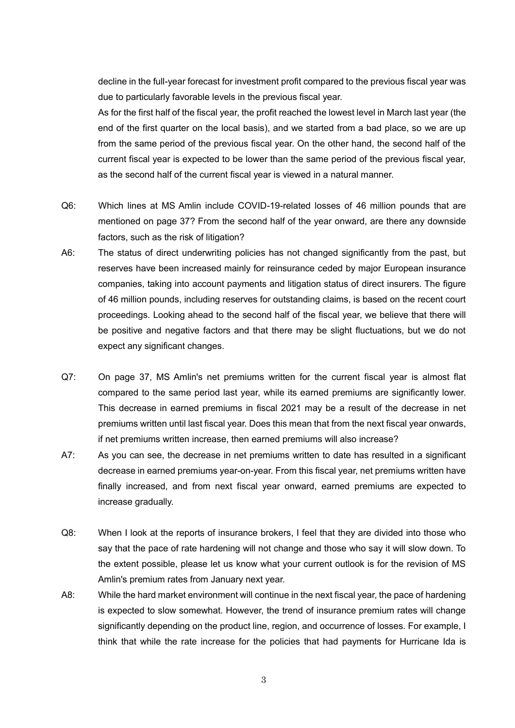decline in the full-year forecast for investment profit compared to the previous fiscal year was due to particularly favorable levels in the previous fiscal year.

As for the first half of the fiscal year, the profit reached the lowest level in March last year (the end of the first quarter on the local basis), and we started from a bad place, so we are up from the same period of the previous fiscal year. On the other hand, the second half of the current fiscal year is expected to be lower than the same period of the previous fiscal year, as the second half of the current fiscal year is viewed in a natural manner.

- Q6: Which lines at MS Amlin include COVID-19-related losses of 46 million pounds that are mentioned on page 37? From the second half of the year onward, are there any downside factors, such as the risk of litigation?
- A6: The status of direct underwriting policies has not changed significantly from the past, but reserves have been increased mainly for reinsurance ceded by major European insurance companies, taking into account payments and litigation status of direct insurers. The figure of 46 million pounds, including reserves for outstanding claims, is based on the recent court proceedings. Looking ahead to the second half of the fiscal year, we believe that there will be positive and negative factors and that there may be slight fluctuations, but we do not expect any significant changes.
- Q7: On page 37, MS Amlin's net premiums written for the current fiscal year is almost flat compared to the same period last year, while its earned premiums are significantly lower. This decrease in earned premiums in fiscal 2021 may be a result of the decrease in net premiums written until last fiscal year. Does this mean that from the next fiscal year onwards, if net premiums written increase, then earned premiums will also increase?
- A7: As you can see, the decrease in net premiums written to date has resulted in a significant decrease in earned premiums year-on-year. From this fiscal year, net premiums written have finally increased, and from next fiscal year onward, earned premiums are expected to increase gradually.
- Q8: When I look at the reports of insurance brokers, I feel that they are divided into those who say that the pace of rate hardening will not change and those who say it will slow down. To the extent possible, please let us know what your current outlook is for the revision of MS Amlin's premium rates from January next year.
- A8: While the hard market environment will continue in the next fiscal year, the pace of hardening is expected to slow somewhat. However, the trend of insurance premium rates will change significantly depending on the product line, region, and occurrence of losses. For example, I think that while the rate increase for the policies that had payments for Hurricane Ida is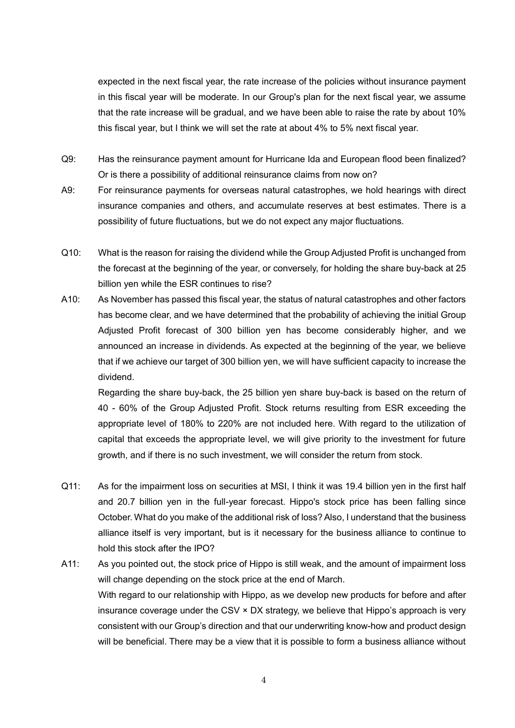expected in the next fiscal year, the rate increase of the policies without insurance payment in this fiscal year will be moderate. In our Group's plan for the next fiscal year, we assume that the rate increase will be gradual, and we have been able to raise the rate by about 10% this fiscal year, but I think we will set the rate at about 4% to 5% next fiscal year.

- Q9: Has the reinsurance payment amount for Hurricane Ida and European flood been finalized? Or is there a possibility of additional reinsurance claims from now on?
- A9: For reinsurance payments for overseas natural catastrophes, we hold hearings with direct insurance companies and others, and accumulate reserves at best estimates. There is a possibility of future fluctuations, but we do not expect any major fluctuations.
- Q10: What is the reason for raising the dividend while the Group Adjusted Profit is unchanged from the forecast at the beginning of the year, or conversely, for holding the share buy-back at 25 billion yen while the ESR continues to rise?
- A10: As November has passed this fiscal year, the status of natural catastrophes and other factors has become clear, and we have determined that the probability of achieving the initial Group Adjusted Profit forecast of 300 billion yen has become considerably higher, and we announced an increase in dividends. As expected at the beginning of the year, we believe that if we achieve our target of 300 billion yen, we will have sufficient capacity to increase the dividend.

Regarding the share buy-back, the 25 billion yen share buy-back is based on the return of 40 - 60% of the Group Adjusted Profit. Stock returns resulting from ESR exceeding the appropriate level of 180% to 220% are not included here. With regard to the utilization of capital that exceeds the appropriate level, we will give priority to the investment for future growth, and if there is no such investment, we will consider the return from stock.

- Q11: As for the impairment loss on securities at MSI, I think it was 19.4 billion yen in the first half and 20.7 billion yen in the full-year forecast. Hippo's stock price has been falling since October. What do you make of the additional risk of loss? Also, I understand that the business alliance itself is very important, but is it necessary for the business alliance to continue to hold this stock after the IPO?
- A11: As you pointed out, the stock price of Hippo is still weak, and the amount of impairment loss will change depending on the stock price at the end of March. With regard to our relationship with Hippo, as we develop new products for before and after insurance coverage under the CSV × DX strategy, we believe that Hippo's approach is very consistent with our Group's direction and that our underwriting know-how and product design will be beneficial. There may be a view that it is possible to form a business alliance without